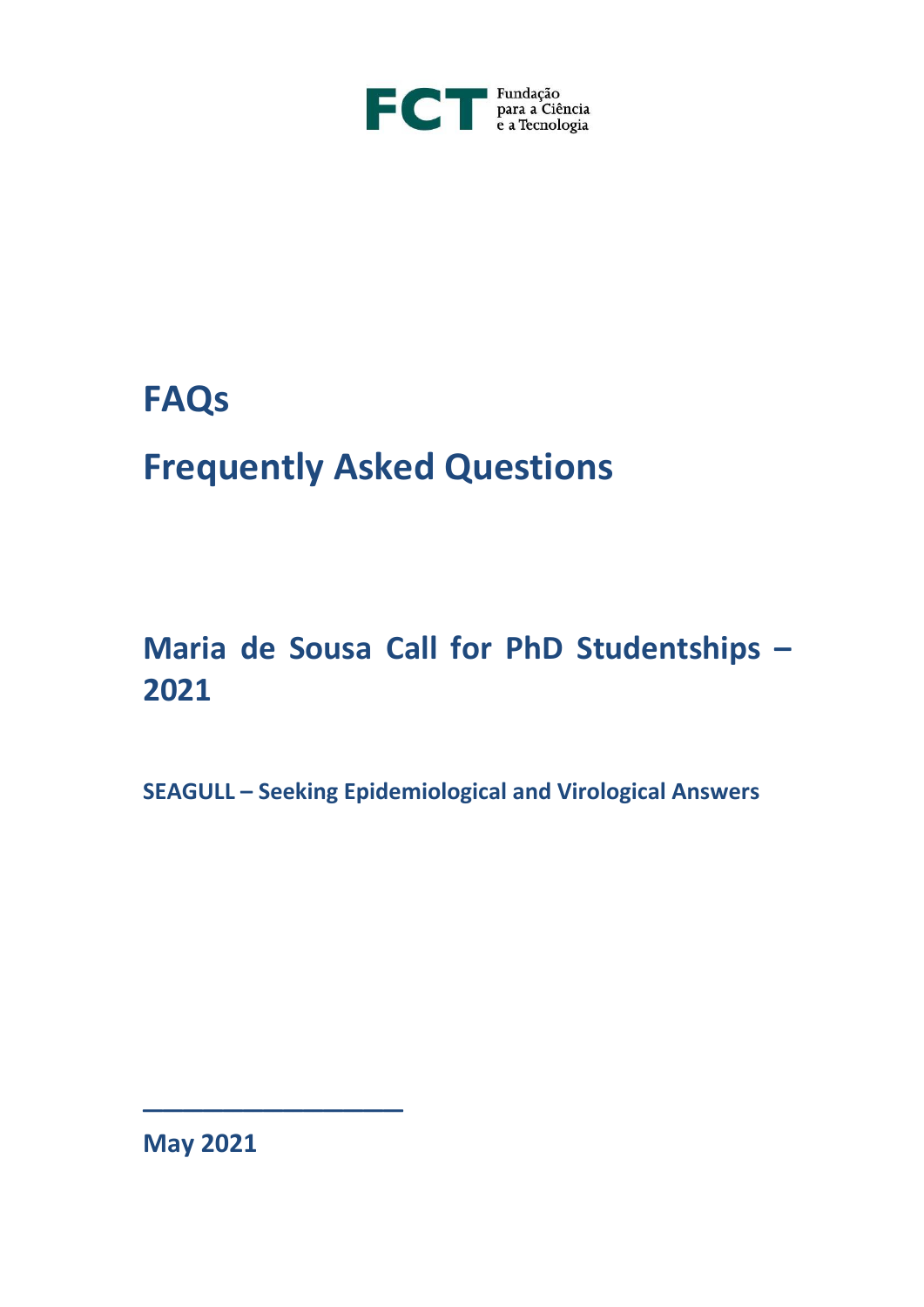

## **FAQs**

# **Frequently Asked Questions**

## **Maria de Sousa Call for PhD Studentships – 2021**

**SEAGULL – Seeking Epidemiological and Virological Answers**

**May 2021**

\_\_\_\_\_\_\_\_\_\_\_\_\_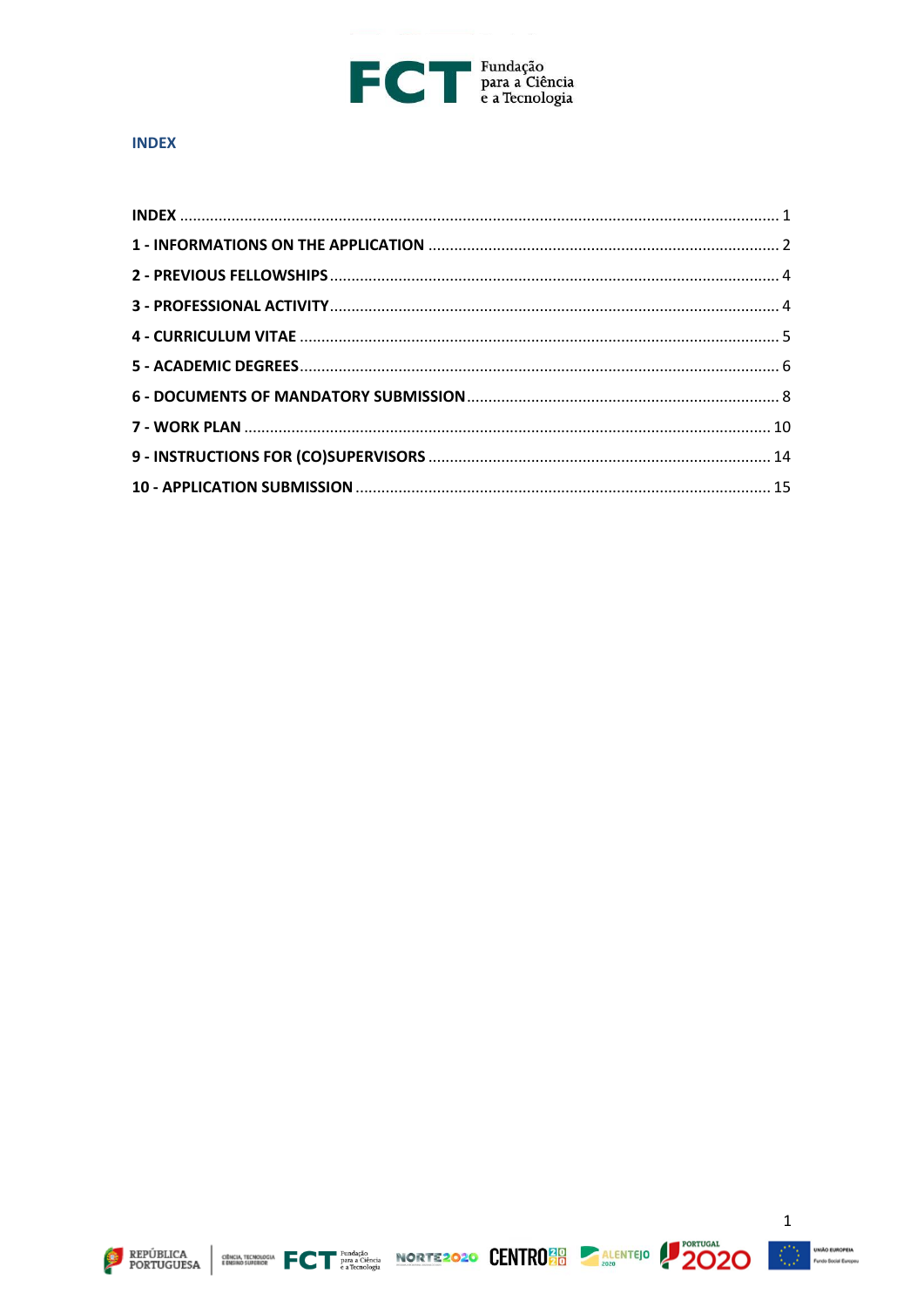

#### <span id="page-1-0"></span>**INDEX**





$$
2020
$$

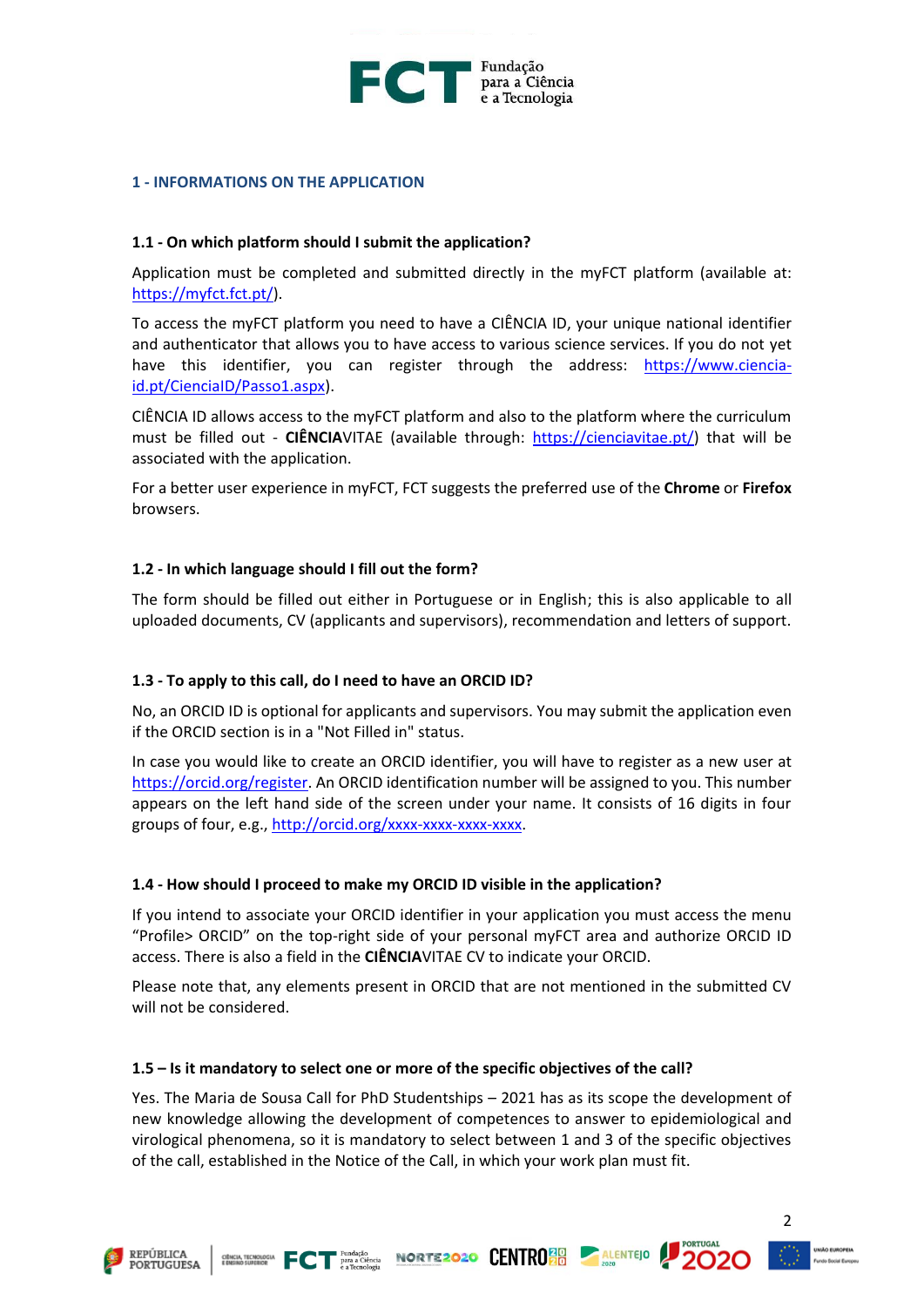

#### <span id="page-2-0"></span>**1 - INFORMATIONS ON THE APPLICATION**

#### **1.1 - On which platform should I submit the application?**

Application must be completed and submitted directly in the myFCT platform (available at: [https://myfct.fct.pt/\)](https://myfct.fct.pt/).

To access the myFCT platform you need to have a CIÊNCIA ID, your unique national identifier and authenticator that allows you to have access to various science services. If you do not yet have this identifier, you can register through the address: [https://www.ciencia](https://www.ciencia-id.pt/CienciaID/Passo1.aspx)[id.pt/CienciaID/Passo1.aspx\)](https://www.ciencia-id.pt/CienciaID/Passo1.aspx).

CIÊNCIA ID allows access to the myFCT platform and also to the platform where the curriculum must be filled out - **CIÊNCIA**VITAE (available through: [https://cienciavitae.pt/\)](https://cienciavitae.pt/) that will be associated with the application.

For a better user experience in myFCT, FCT suggests the preferred use of the **Chrome** or **Firefox** browsers.

#### **1.2 - In which language should I fill out the form?**

The form should be filled out either in Portuguese or in English; this is also applicable to all uploaded documents, CV (applicants and supervisors), recommendation and letters of support.

#### **1.3 - To apply to this call, do I need to have an ORCID ID?**

No, an ORCID ID is optional for applicants and supervisors. You may submit the application even if the ORCID section is in a "Not Filled in" status.

In case you would like to create an ORCID identifier, you will have to register as a new user at [https://orcid.org/register.](https://orcid.org/register) An ORCID identification number will be assigned to you. This number appears on the left hand side of the screen under your name. It consists of 16 digits in four groups of four, e.g., [http://orcid.org/xxxx-xxxx-xxxx-xxxx.](http://orcid.org/xxxx-xxxx-xxxx-xxxx)

#### **1.4 - How should I proceed to make my ORCID ID visible in the application?**

If you intend to associate your ORCID identifier in your application you must access the menu "Profile> ORCID" on the top-right side of your personal myFCT area and authorize ORCID ID access. There is also a field in the **CIÊNCIA**VITAE CV to indicate your ORCID.

Please note that, any elements present in ORCID that are not mentioned in the submitted CV will not be considered.

#### **1.5 – Is it mandatory to select one or more of the specific objectives of the call?**

Yes. The Maria de Sousa Call for PhD Studentships – 2021 has as its scope the development of new knowledge allowing the development of competences to answer to epidemiological and virological phenomena, so it is mandatory to select between 1 and 3 of the specific objectives of the call, established in the Notice of the Call, in which your work plan must fit.







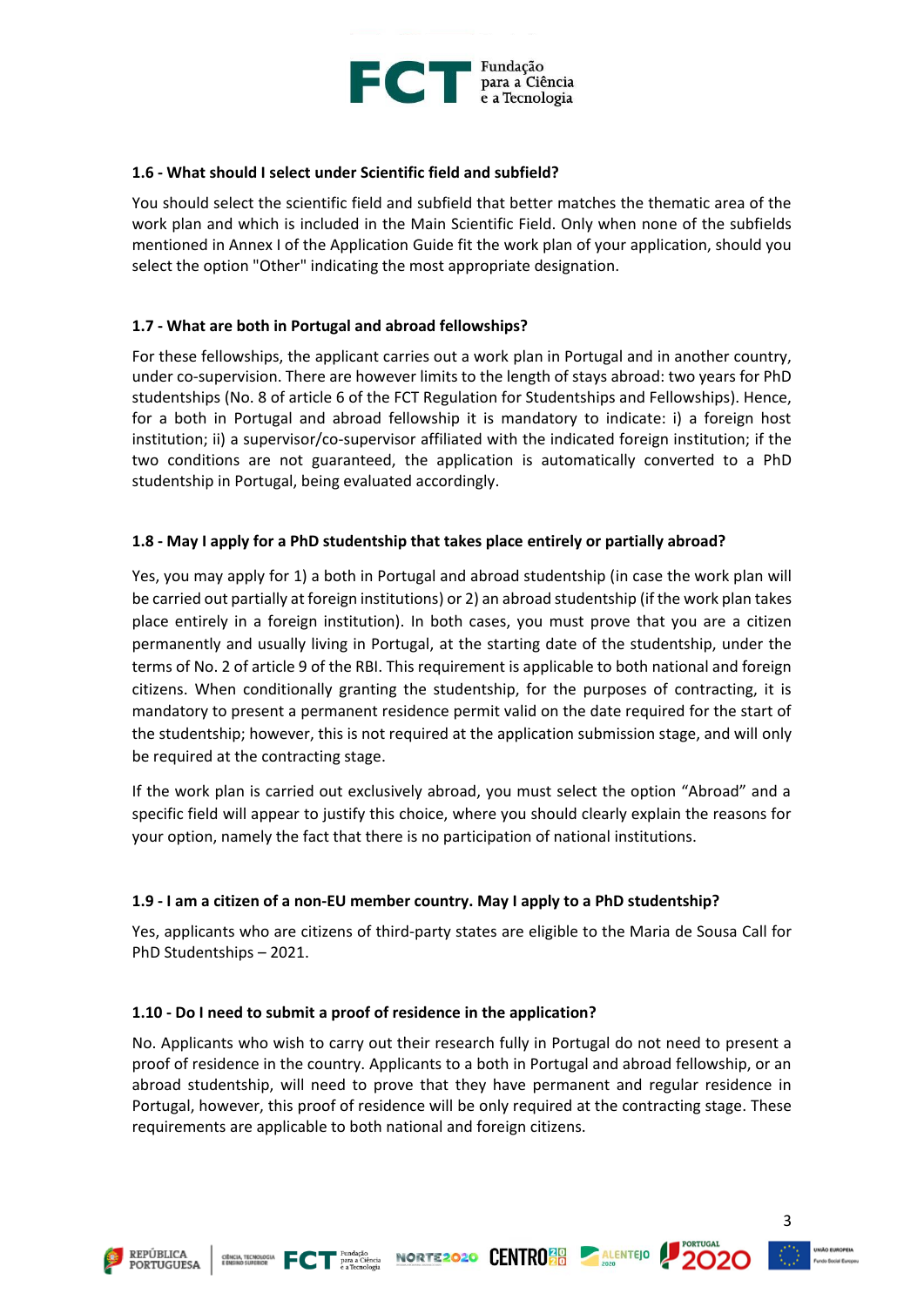

#### **1.6 - What should I select under Scientific field and subfield?**

You should select the scientific field and subfield that better matches the thematic area of the work plan and which is included in the Main Scientific Field. Only when none of the subfields mentioned in Annex I of the Application Guide fit the work plan of your application, should you select the option "Other" indicating the most appropriate designation.

## **1.7 - What are both in Portugal and abroad fellowships?**

For these fellowships, the applicant carries out a work plan in Portugal and in another country, under co-supervision. There are however limits to the length of stays abroad: two years for PhD studentships (No. 8 of article 6 of the FCT Regulation for Studentships and Fellowships). Hence, for a both in Portugal and abroad fellowship it is mandatory to indicate: i) a foreign host institution; ii) a supervisor/co-supervisor affiliated with the indicated foreign institution; if the two conditions are not guaranteed, the application is automatically converted to a PhD studentship in Portugal, being evaluated accordingly.

## **1.8 - May I apply for a PhD studentship that takes place entirely or partially abroad?**

Yes, you may apply for 1) a both in Portugal and abroad studentship (in case the work plan will be carried out partially at foreign institutions) or 2) an abroad studentship (if the work plan takes place entirely in a foreign institution). In both cases, you must prove that you are a citizen permanently and usually living in Portugal, at the starting date of the studentship, under the terms of No. 2 of article 9 of the RBI. This requirement is applicable to both national and foreign citizens. When conditionally granting the studentship, for the purposes of contracting, it is mandatory to present a permanent residence permit valid on the date required for the start of the studentship; however, this is not required at the application submission stage, and will only be required at the contracting stage.

If the work plan is carried out exclusively abroad, you must select the option "Abroad" and a specific field will appear to justify this choice, where you should clearly explain the reasons for your option, namely the fact that there is no participation of national institutions.

## **1.9 - I am a citizen of a non-EU member country. May I apply to a PhD studentship?**

Yes, applicants who are citizens of third-party states are eligible to the Maria de Sousa Call for PhD Studentships – 2021.

#### **1.10 - Do I need to submit a proof of residence in the application?**

No. Applicants who wish to carry out their research fully in Portugal do not need to present a proof of residence in the country. Applicants to a both in Portugal and abroad fellowship, or an abroad studentship, will need to prove that they have permanent and regular residence in Portugal, however, this proof of residence will be only required at the contracting stage. These requirements are applicable to both national and foreign citizens.







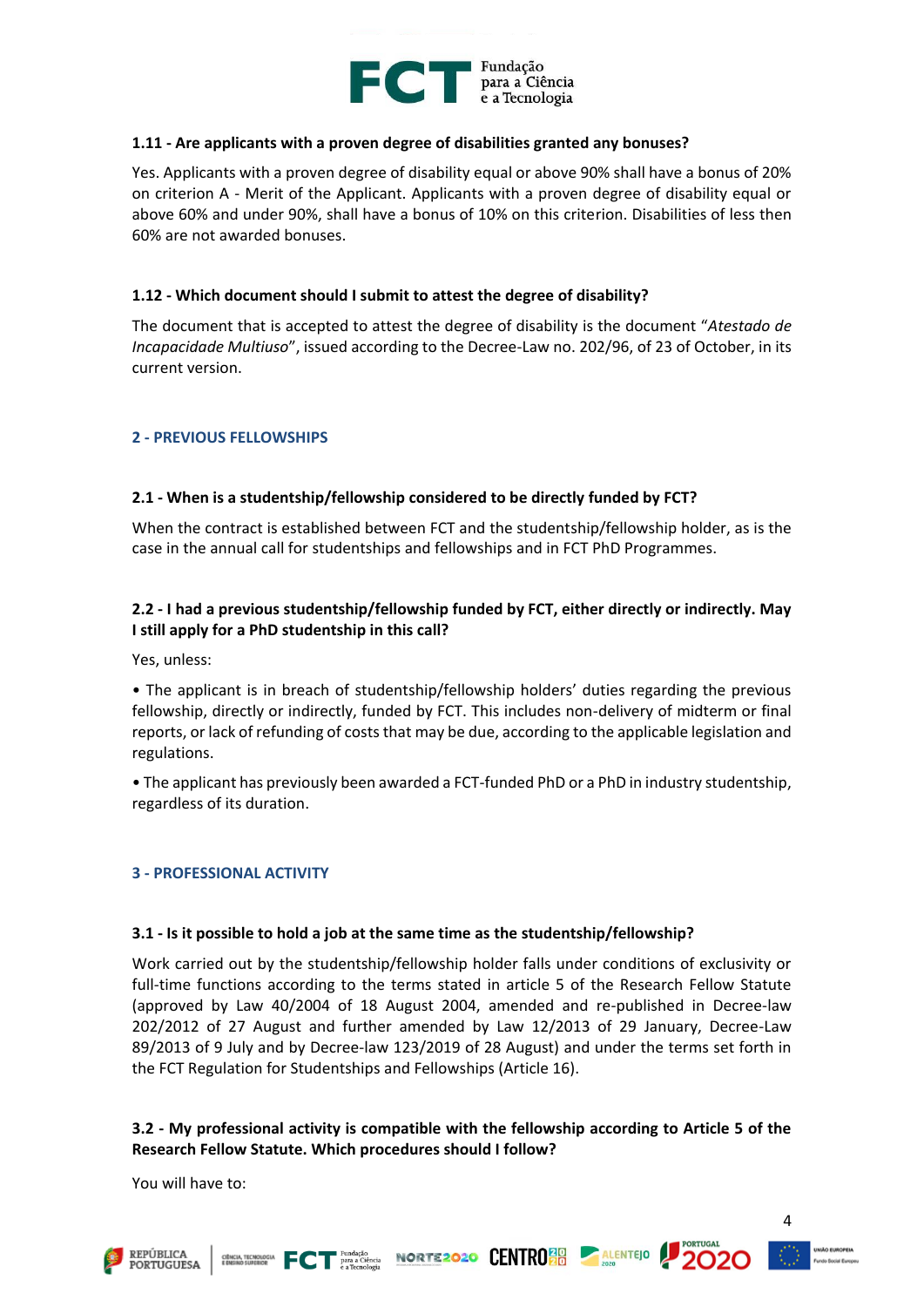

#### **1.11 - Are applicants with a proven degree of disabilities granted any bonuses?**

Yes. Applicants with a proven degree of disability equal or above 90% shall have a bonus of 20% on criterion A - Merit of the Applicant. Applicants with a proven degree of disability equal or above 60% and under 90%, shall have a bonus of 10% on this criterion. Disabilities of less then 60% are not awarded bonuses.

#### **1.12 - Which document should I submit to attest the degree of disability?**

The document that is accepted to attest the degree of disability is the document "*Atestado de Incapacidade Multiuso*", issued according to the Decree-Law no. 202/96, of 23 of October, in its current version.

## <span id="page-4-0"></span>**2 - PREVIOUS FELLOWSHIPS**

## **2.1 - When is a studentship/fellowship considered to be directly funded by FCT?**

When the contract is established between FCT and the studentship/fellowship holder, as is the case in the annual call for studentships and fellowships and in FCT PhD Programmes.

## **2.2 - I had a previous studentship/fellowship funded by FCT, either directly or indirectly. May I still apply for a PhD studentship in this call?**

Yes, unless:

• The applicant is in breach of studentship/fellowship holders' duties regarding the previous fellowship, directly or indirectly, funded by FCT. This includes non-delivery of midterm or final reports, or lack of refunding of costs that may be due, according to the applicable legislation and regulations.

• The applicant has previously been awarded a FCT-funded PhD or a PhD in industry studentship, regardless of its duration.

#### <span id="page-4-1"></span>**3 - PROFESSIONAL ACTIVITY**

#### **3.1 - Is it possible to hold a job at the same time as the studentship/fellowship?**

Work carried out by the studentship/fellowship holder falls under conditions of exclusivity or full-time functions according to the terms stated in article 5 of the Research Fellow Statute (approved by Law 40/2004 of 18 August 2004, amended and re-published in Decree-law 202/2012 of 27 August and further amended by Law 12/2013 of 29 January, Decree-Law 89/2013 of 9 July and by Decree-law 123/2019 of 28 August) and under the terms set forth in the FCT Regulation for Studentships and Fellowships (Article 16).

## **3.2 - My professional activity is compatible with the fellowship according to Article 5 of the Research Fellow Statute. Which procedures should I follow?**

ECT **Example 2020** CENTRO **BULGE ALENTED** 

You will have to:

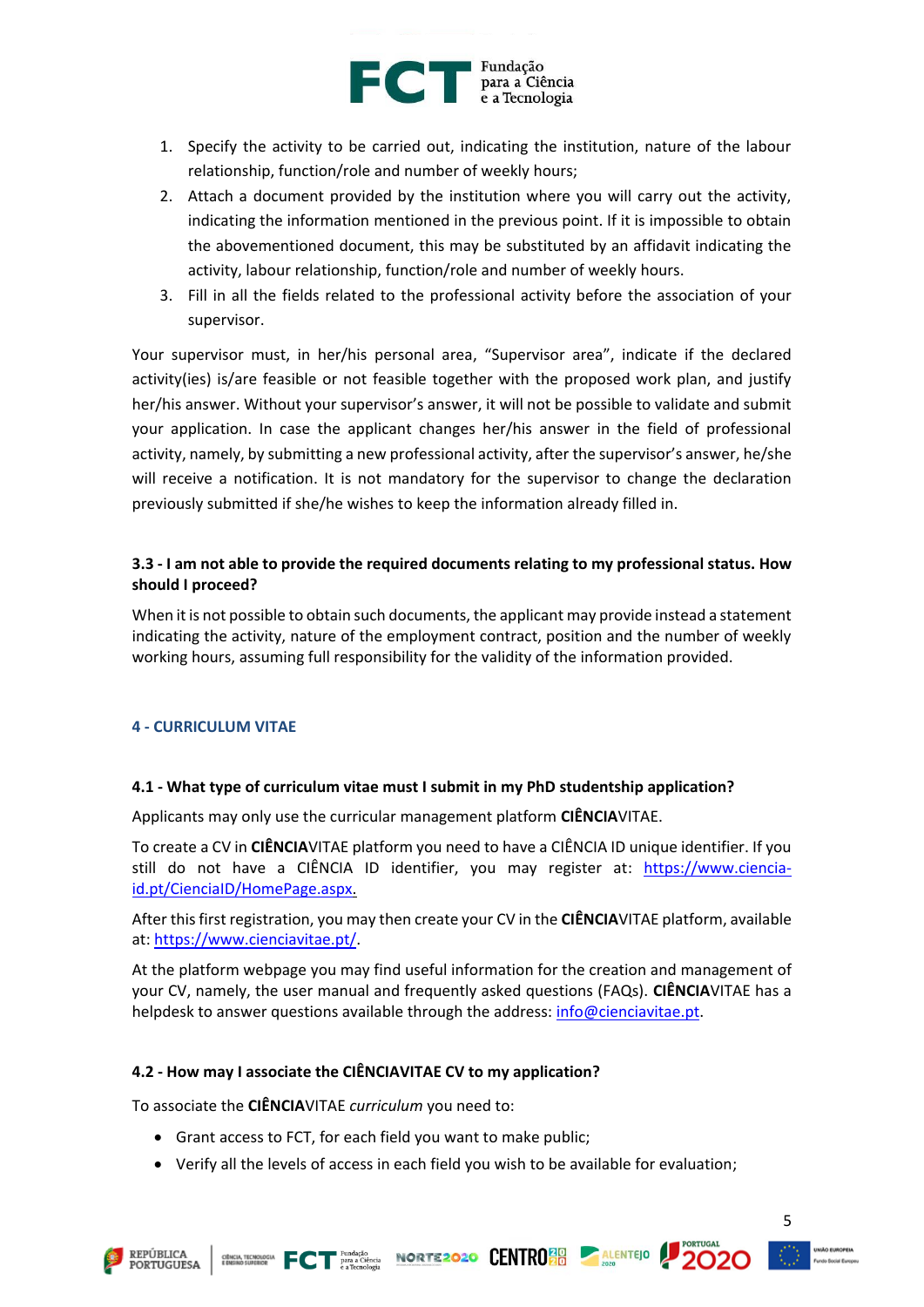

- 1. Specify the activity to be carried out, indicating the institution, nature of the labour relationship, function/role and number of weekly hours;
- 2. Attach a document provided by the institution where you will carry out the activity, indicating the information mentioned in the previous point. If it is impossible to obtain the abovementioned document, this may be substituted by an affidavit indicating the activity, labour relationship, function/role and number of weekly hours.
- 3. Fill in all the fields related to the professional activity before the association of your supervisor.

Your supervisor must, in her/his personal area, "Supervisor area", indicate if the declared activity(ies) is/are feasible or not feasible together with the proposed work plan, and justify her/his answer. Without your supervisor's answer, it will not be possible to validate and submit your application. In case the applicant changes her/his answer in the field of professional activity, namely, by submitting a new professional activity, after the supervisor's answer, he/she will receive a notification. It is not mandatory for the supervisor to change the declaration previously submitted if she/he wishes to keep the information already filled in.

## **3.3 - I am not able to provide the required documents relating to my professional status. How should I proceed?**

When it is not possible to obtain such documents, the applicant may provide instead a statement indicating the activity, nature of the employment contract, position and the number of weekly working hours, assuming full responsibility for the validity of the information provided.

## <span id="page-5-0"></span>**4 - CURRICULUM VITAE**

## **4.1 - What type of curriculum vitae must I submit in my PhD studentship application?**

Applicants may only use the curricular management platform **CIÊNCIA**VITAE.

To create a CV in **CIÊNCIA**VITAE platform you need to have a CIÊNCIA ID unique identifier. If you still do not have a CIÊNCIA ID identifier, you may register at: [https://www.ciencia](https://www.ciencia-id.pt/CienciaID/HomePage.aspx)[id.pt/CienciaID/HomePage.aspx.](https://www.ciencia-id.pt/CienciaID/HomePage.aspx)

After this first registration, you may then create your CV in the **CIÊNCIA**VITAE platform, available at: [https://www.cienciavitae.pt/.](https://www.cienciavitae.pt/)

At the platform webpage you may find useful information for the creation and management of your CV, namely, the user manual and frequently asked questions (FAQs). **CIÊNCIA**VITAE has a helpdesk to answer questions available through the address: [info@cienciavitae.pt.](mailto:info@cienciavitae.pt)

## **4.2 - How may I associate the CIÊNCIAVITAE CV to my application?**

To associate the **CIÊNCIA**VITAE *curriculum* you need to:

- Grant access to FCT, for each field you want to make public;
- Verify all the levels of access in each field you wish to be available for evaluation;





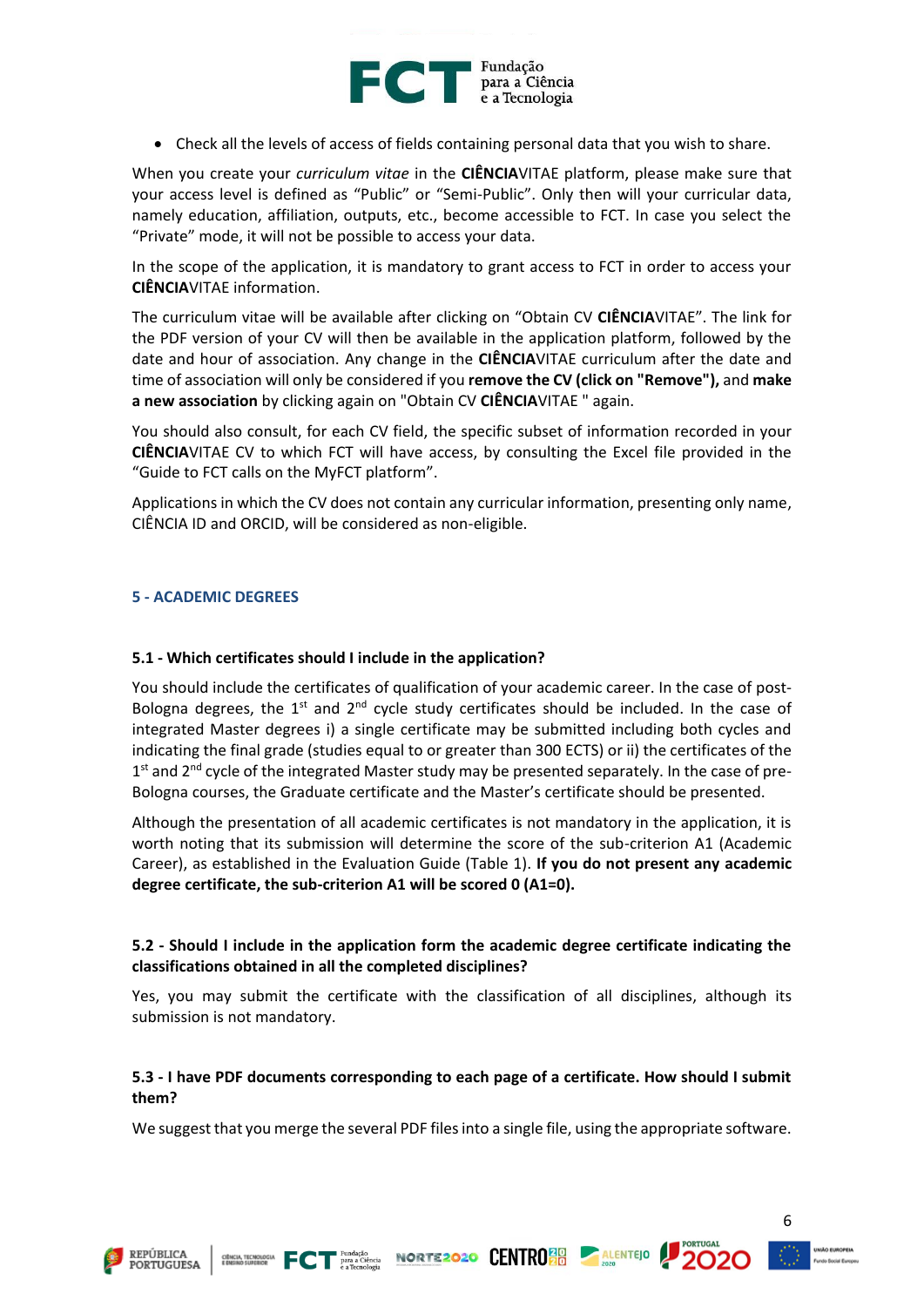

• Check all the levels of access of fields containing personal data that you wish to share.

When you create your *curriculum vitae* in the **CIÊNCIA**VITAE platform, please make sure that your access level is defined as "Public" or "Semi-Public". Only then will your curricular data, namely education, affiliation, outputs, etc., become accessible to FCT. In case you select the "Private" mode, it will not be possible to access your data.

In the scope of the application, it is mandatory to grant access to FCT in order to access your **CIÊNCIA**VITAE information.

The curriculum vitae will be available after clicking on "Obtain CV **CIÊNCIA**VITAE". The link for the PDF version of your CV will then be available in the application platform, followed by the date and hour of association. Any change in the **CIÊNCIA**VITAE curriculum after the date and time of association will only be considered if you **remove the CV (click on "Remove"),** and **make a new association** by clicking again on "Obtain CV **CIÊNCIA**VITAE " again.

You should also consult, for each CV field, the specific subset of information recorded in your **CIÊNCIA**VITAE CV to which FCT will have access, by consulting the Excel file provided in the "Guide to FCT calls on the MyFCT platform".

Applications in which the CV does not contain any curricular information, presenting only name, CIÊNCIA ID and ORCID, will be considered as non-eligible.

#### <span id="page-6-0"></span>**5 - ACADEMIC DEGREES**

#### **5.1 - Which certificates should I include in the application?**

You should include the certificates of qualification of your academic career. In the case of post-Bologna degrees, the  $1^{st}$  and  $2^{nd}$  cycle study certificates should be included. In the case of integrated Master degrees i) a single certificate may be submitted including both cycles and indicating the final grade (studies equal to or greater than 300 ECTS) or ii) the certificates of the 1<sup>st</sup> and 2<sup>nd</sup> cycle of the integrated Master study may be presented separately. In the case of pre-Bologna courses, the Graduate certificate and the Master's certificate should be presented.

Although the presentation of all academic certificates is not mandatory in the application, it is worth noting that its submission will determine the score of the sub-criterion A1 (Academic Career), as established in the Evaluation Guide (Table 1). **If you do not present any academic degree certificate, the sub-criterion A1 will be scored 0 (A1=0).**

## **5.2 - Should I include in the application form the academic degree certificate indicating the classifications obtained in all the completed disciplines?**

Yes, you may submit the certificate with the classification of all disciplines, although its submission is not mandatory.

#### **5.3 - I have PDF documents corresponding to each page of a certificate. How should I submit them?**

We suggest that you merge the several PDF files into a single file, using the appropriate software.

CHICARDOGIA FCT PATA CIÈRCIA NORTE 2020 CENTRO 20 ALENTEJO

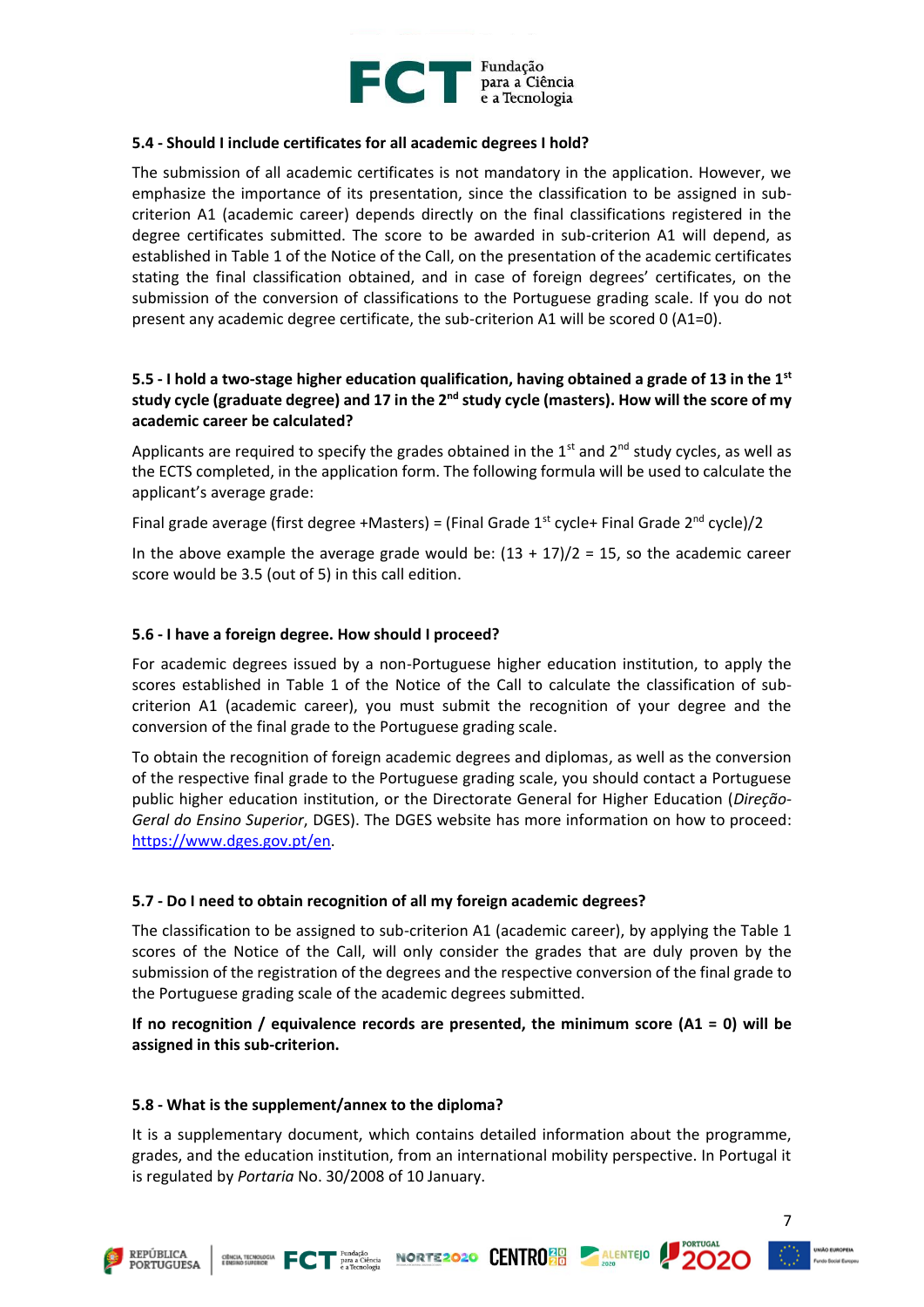

#### **5.4 - Should I include certificates for all academic degrees I hold?**

The submission of all academic certificates is not mandatory in the application. However, we emphasize the importance of its presentation, since the classification to be assigned in subcriterion A1 (academic career) depends directly on the final classifications registered in the degree certificates submitted. The score to be awarded in sub-criterion A1 will depend, as established in Table 1 of the Notice of the Call, on the presentation of the academic certificates stating the final classification obtained, and in case of foreign degrees' certificates, on the submission of the conversion of classifications to the Portuguese grading scale. If you do not present any academic degree certificate, the sub-criterion A1 will be scored 0 (A1=0).

## **5.5 - I hold a two-stage higher education qualification, having obtained a grade of 13 in the 1st study cycle (graduate degree) and 17 in the 2nd study cycle (masters). How will the score of my academic career be calculated?**

Applicants are required to specify the grades obtained in the  $1<sup>st</sup>$  and  $2<sup>nd</sup>$  study cycles, as well as the ECTS completed, in the application form. The following formula will be used to calculate the applicant's average grade:

Final grade average (first degree +Masters) = (Final Grade  $1<sup>st</sup>$  cycle+ Final Grade  $2<sup>nd</sup>$  cycle)/2

In the above example the average grade would be:  $(13 + 17)/2 = 15$ , so the academic career score would be 3.5 (out of 5) in this call edition.

#### **5.6 - I have a foreign degree. How should I proceed?**

For academic degrees issued by a non-Portuguese higher education institution, to apply the scores established in Table 1 of the Notice of the Call to calculate the classification of subcriterion A1 (academic career), you must submit the recognition of your degree and the conversion of the final grade to the Portuguese grading scale.

To obtain the recognition of foreign academic degrees and diplomas, as well as the conversion of the respective final grade to the Portuguese grading scale, you should contact a Portuguese public higher education institution, or the Directorate General for Higher Education (*Direção-Geral do Ensino Superior*, DGES). The DGES website has more information on how to proceed: [https://www.dges.gov.pt/en.](https://www.dges.gov.pt/en)

#### **5.7 - Do I need to obtain recognition of all my foreign academic degrees?**

The classification to be assigned to sub-criterion A1 (academic career), by applying the Table 1 scores of the Notice of the Call, will only consider the grades that are duly proven by the submission of the registration of the degrees and the respective conversion of the final grade to the Portuguese grading scale of the academic degrees submitted.

**If no recognition / equivalence records are presented, the minimum score (A1 = 0) will be assigned in this sub-criterion.**

#### **5.8 - What is the supplement/annex to the diploma?**

It is a supplementary document, which contains detailed information about the programme, grades, and the education institution, from an international mobility perspective. In Portugal it is regulated by *Portaria* No. 30/2008 of 10 January.







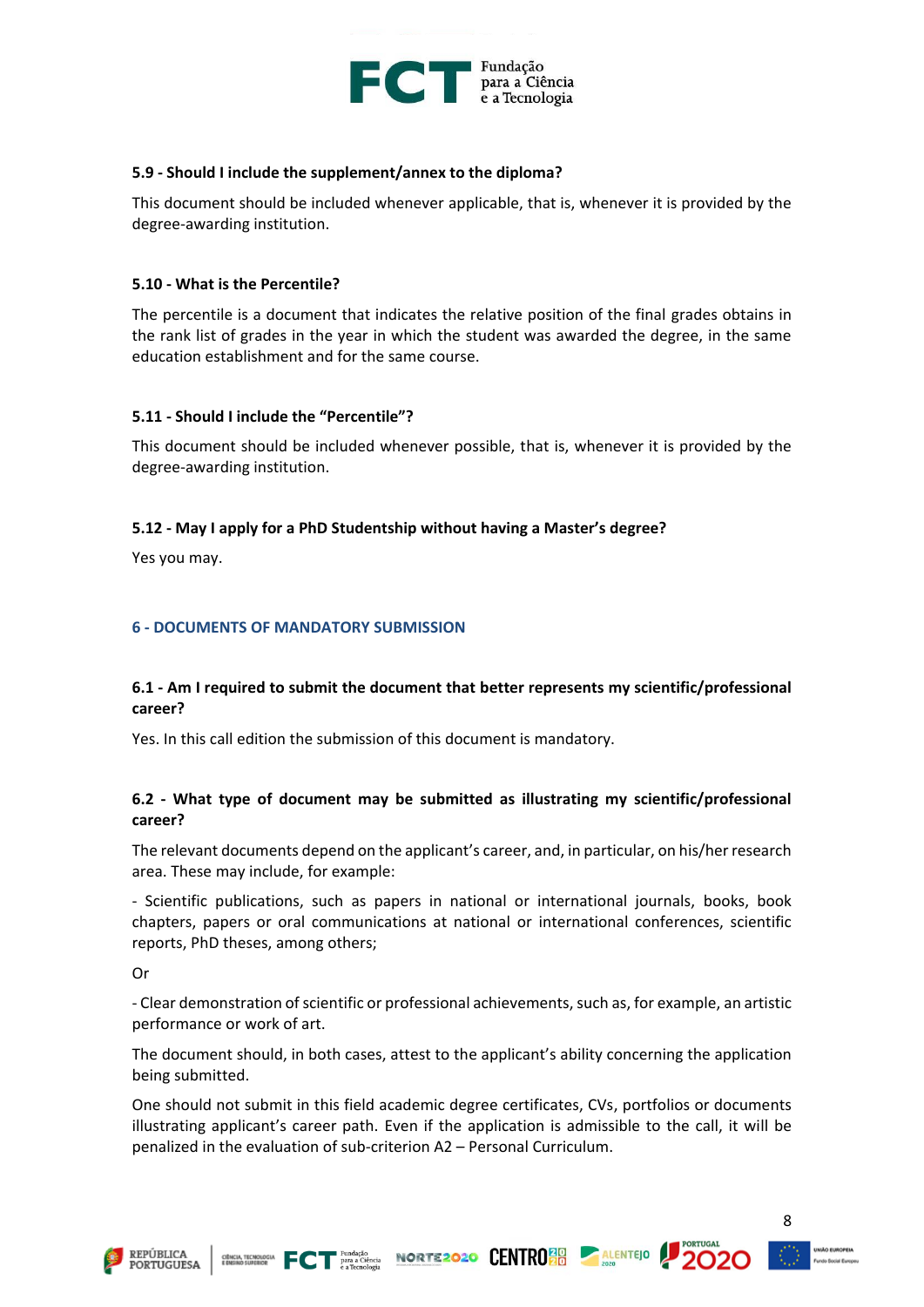

#### **5.9 - Should I include the supplement/annex to the diploma?**

This document should be included whenever applicable, that is, whenever it is provided by the degree-awarding institution.

#### **5.10 - What is the Percentile?**

The percentile is a document that indicates the relative position of the final grades obtains in the rank list of grades in the year in which the student was awarded the degree, in the same education establishment and for the same course.

#### **5.11 - Should I include the "Percentile"?**

This document should be included whenever possible, that is, whenever it is provided by the degree-awarding institution.

#### **5.12 - May I apply for a PhD Studentship without having a Master's degree?**

Yes you may.

#### <span id="page-8-0"></span>**6 - DOCUMENTS OF MANDATORY SUBMISSION**

#### **6.1 - Am I required to submit the document that better represents my scientific/professional career?**

Yes. In this call edition the submission of this document is mandatory.

#### **6.2 - What type of document may be submitted as illustrating my scientific/professional career?**

The relevant documents depend on the applicant's career, and, in particular, on his/her research area. These may include, for example:

- Scientific publications, such as papers in national or international journals, books, book chapters, papers or oral communications at national or international conferences, scientific reports, PhD theses, among others;

Or

- Clear demonstration of scientific or professional achievements, such as, for example, an artistic performance or work of art.

The document should, in both cases, attest to the applicant's ability concerning the application being submitted.

One should not submit in this field academic degree certificates, CVs, portfolios or documents illustrating applicant's career path. Even if the application is admissible to the call, it will be penalized in the evaluation of sub-criterion A2 – Personal Curriculum.







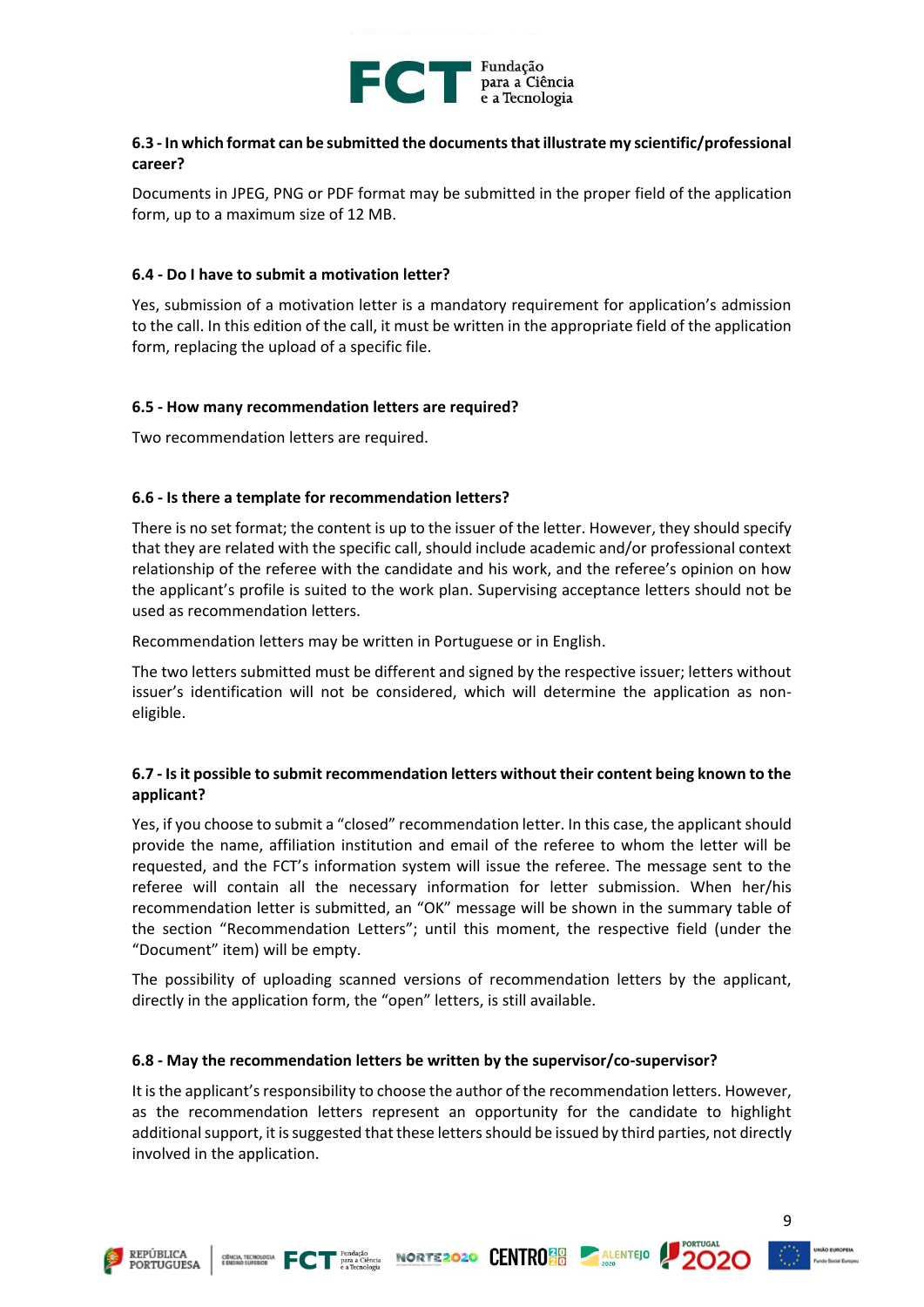

## **6.3 - In which format can be submitted the documents that illustrate my scientific/professional career?**

Documents in JPEG, PNG or PDF format may be submitted in the proper field of the application form, up to a maximum size of 12 MB.

#### **6.4 - Do I have to submit a motivation letter?**

Yes, submission of a motivation letter is a mandatory requirement for application's admission to the call. In this edition of the call, it must be written in the appropriate field of the application form, replacing the upload of a specific file.

#### **6.5 - How many recommendation letters are required?**

Two recommendation letters are required.

## **6.6 - Is there a template for recommendation letters?**

There is no set format; the content is up to the issuer of the letter. However, they should specify that they are related with the specific call, should include academic and/or professional context relationship of the referee with the candidate and his work, and the referee's opinion on how the applicant's profile is suited to the work plan. Supervising acceptance letters should not be used as recommendation letters.

Recommendation letters may be written in Portuguese or in English.

The two letters submitted must be different and signed by the respective issuer; letters without issuer's identification will not be considered, which will determine the application as noneligible.

## **6.7 - Is it possible to submit recommendation letters without their content being known to the applicant?**

Yes, if you choose to submit a "closed" recommendation letter. In this case, the applicant should provide the name, affiliation institution and email of the referee to whom the letter will be requested, and the FCT's information system will issue the referee. The message sent to the referee will contain all the necessary information for letter submission. When her/his recommendation letter is submitted, an "OK" message will be shown in the summary table of the section "Recommendation Letters"; until this moment, the respective field (under the "Document" item) will be empty.

The possibility of uploading scanned versions of recommendation letters by the applicant, directly in the application form, the "open" letters, is still available.

#### **6.8 - May the recommendation letters be written by the supervisor/co-supervisor?**

It is the applicant's responsibility to choose the author of the recommendation letters. However, as the recommendation letters represent an opportunity for the candidate to highlight additional support, it is suggested that these letters should be issued by third parties, not directly involved in the application.





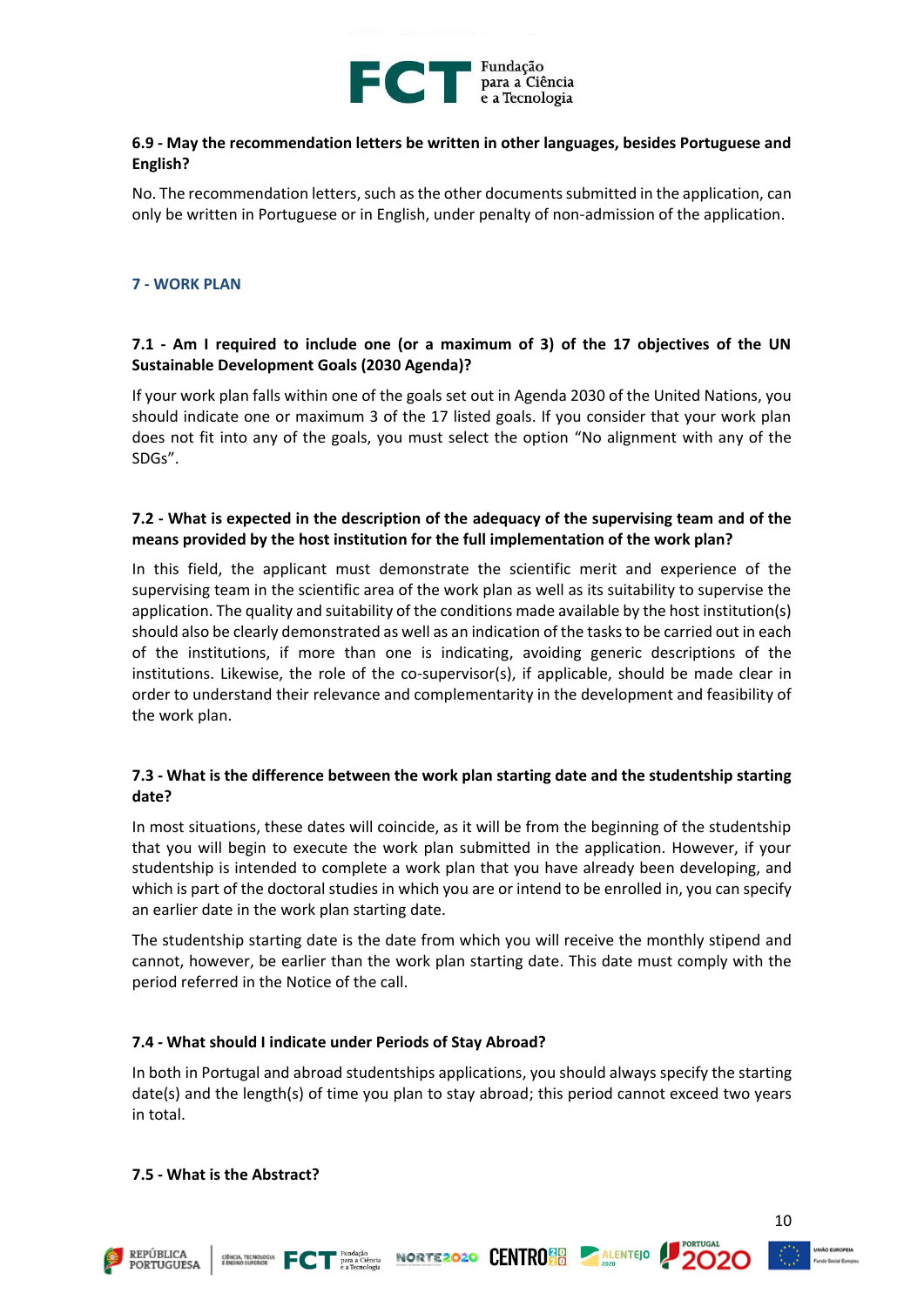

## **6.9 - May the recommendation letters be written in other languages, besides Portuguese and English?**

No. The recommendation letters, such as the other documents submitted in the application, can only be written in Portuguese or in English, under penalty of non-admission of the application.

#### <span id="page-10-0"></span>**7 - WORK PLAN**

## **7.1 - Am I required to include one (or a maximum of 3) of the 17 objectives of the UN Sustainable Development Goals (2030 Agenda)?**

If your work plan falls within one of the goals set out in Agenda 2030 of the United Nations, you should indicate one or maximum 3 of the 17 listed goals. If you consider that your work plan does not fit into any of the goals, you must select the option "No alignment with any of the SDGs".

## **7.2 - What is expected in the description of the adequacy of the supervising team and of the means provided by the host institution for the full implementation of the work plan?**

In this field, the applicant must demonstrate the scientific merit and experience of the supervising team in the scientific area of the work plan as well as its suitability to supervise the application. The quality and suitability of the conditions made available by the host institution(s) should also be clearly demonstrated as well as an indication of the tasks to be carried out in each of the institutions, if more than one is indicating, avoiding generic descriptions of the institutions. Likewise, the role of the co-supervisor(s), if applicable, should be made clear in order to understand their relevance and complementarity in the development and feasibility of the work plan.

## **7.3 - What is the difference between the work plan starting date and the studentship starting date?**

In most situations, these dates will coincide, as it will be from the beginning of the studentship that you will begin to execute the work plan submitted in the application. However, if your studentship is intended to complete a work plan that you have already been developing, and which is part of the doctoral studies in which you are or intend to be enrolled in, you can specify an earlier date in the work plan starting date.

The studentship starting date is the date from which you will receive the monthly stipend and cannot, however, be earlier than the work plan starting date. This date must comply with the period referred in the Notice of the call.

#### **7.4 - What should I indicate under Periods of Stay Abroad?**

In both in Portugal and abroad studentships applications, you should always specify the starting date(s) and the length(s) of time you plan to stay abroad; this period cannot exceed two years in total.

#### **7.5 - What is the Abstract?**







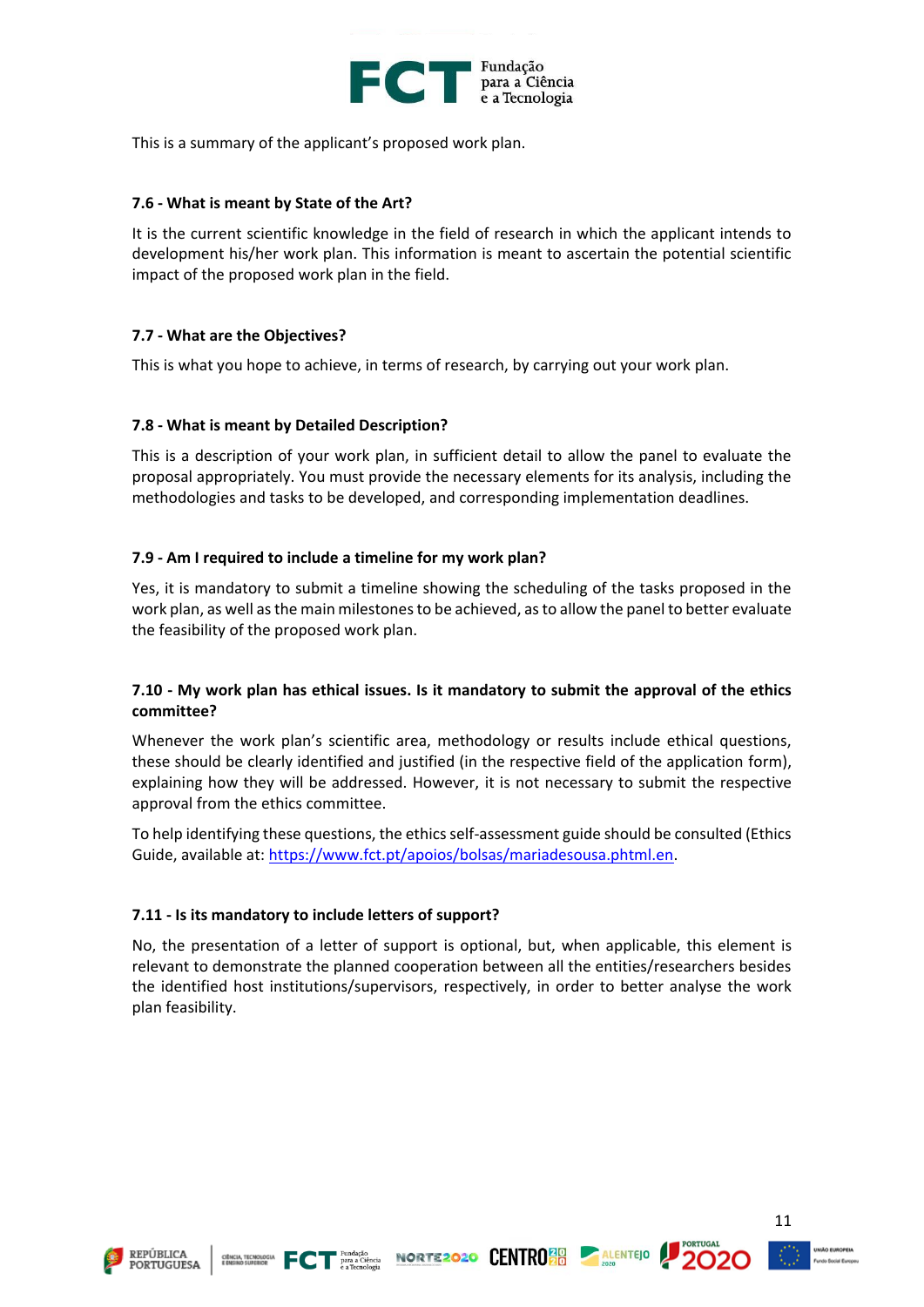

This is a summary of the applicant's proposed work plan.

#### **7.6 - What is meant by State of the Art?**

It is the current scientific knowledge in the field of research in which the applicant intends to development his/her work plan. This information is meant to ascertain the potential scientific impact of the proposed work plan in the field.

## **7.7 - What are the Objectives?**

This is what you hope to achieve, in terms of research, by carrying out your work plan.

## **7.8 - What is meant by Detailed Description?**

This is a description of your work plan, in sufficient detail to allow the panel to evaluate the proposal appropriately. You must provide the necessary elements for its analysis, including the methodologies and tasks to be developed, and corresponding implementation deadlines.

## **7.9 - Am I required to include a timeline for my work plan?**

Yes, it is mandatory to submit a timeline showing the scheduling of the tasks proposed in the work plan, as well as the main milestones to be achieved, as to allow the panel to better evaluate the feasibility of the proposed work plan.

## **7.10 - My work plan has ethical issues. Is it mandatory to submit the approval of the ethics committee?**

Whenever the work plan's scientific area, methodology or results include ethical questions, these should be clearly identified and justified (in the respective field of the application form), explaining how they will be addressed. However, it is not necessary to submit the respective approval from the ethics committee.

To help identifying these questions, the ethics self-assessment guide should be consulted (Ethics Guide, available at: [https://www.fct.pt/apoios/bolsas/mariadesousa.phtml.en.](https://www.fct.pt/apoios/bolsas/mariadesousa.phtml.en)

#### **7.11 - Is its mandatory to include letters of support?**

No, the presentation of a letter of support is optional, but, when applicable, this element is relevant to demonstrate the planned cooperation between all the entities/researchers besides the identified host institutions/supervisors, respectively, in order to better analyse the work plan feasibility.





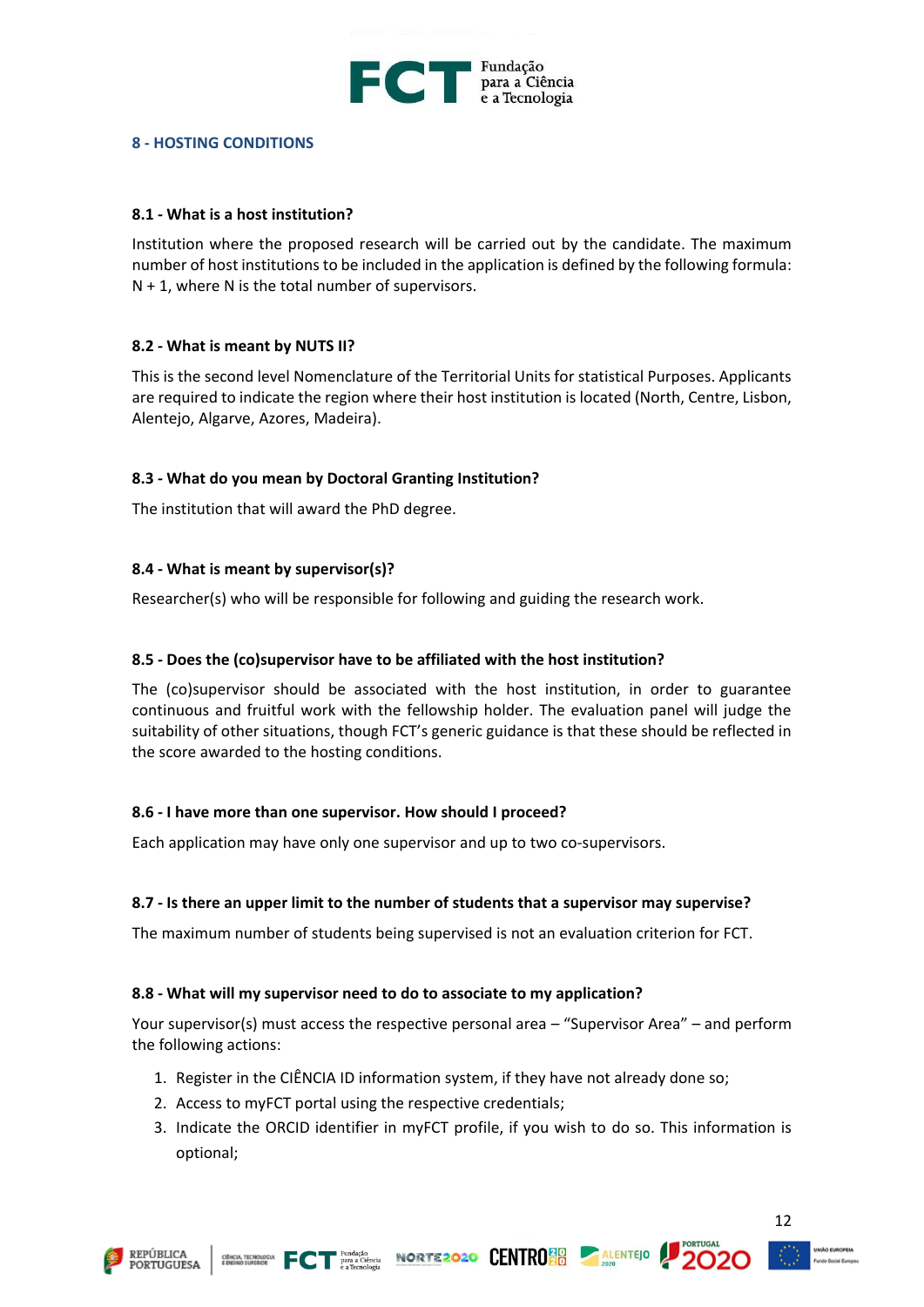

#### **8 - HOSTING CONDITIONS**

#### **8.1 - What is a host institution?**

Institution where the proposed research will be carried out by the candidate. The maximum number of host institutions to be included in the application is defined by the following formula:  $N + 1$ , where N is the total number of supervisors.

#### **8.2 - What is meant by NUTS II?**

This is the second level Nomenclature of the Territorial Units for statistical Purposes. Applicants are required to indicate the region where their host institution is located (North, Centre, Lisbon, Alentejo, Algarve, Azores, Madeira).

#### **8.3 - What do you mean by Doctoral Granting Institution?**

The institution that will award the PhD degree.

#### **8.4 - What is meant by supervisor(s)?**

Researcher(s) who will be responsible for following and guiding the research work.

#### **8.5 - Does the (co)supervisor have to be affiliated with the host institution?**

The (co)supervisor should be associated with the host institution, in order to guarantee continuous and fruitful work with the fellowship holder. The evaluation panel will judge the suitability of other situations, though FCT's generic guidance is that these should be reflected in the score awarded to the hosting conditions.

#### **8.6 - I have more than one supervisor. How should I proceed?**

Each application may have only one supervisor and up to two co-supervisors.

#### **8.7 - Is there an upper limit to the number of students that a supervisor may supervise?**

The maximum number of students being supervised is not an evaluation criterion for FCT.

#### **8.8 - What will my supervisor need to do to associate to my application?**

Your supervisor(s) must access the respective personal area – "Supervisor Area" – and perform the following actions:

- 1. Register in the CIÊNCIA ID information system, if they have not already done so;
- 2. Access to myFCT portal using the respective credentials;
- 3. Indicate the ORCID identifier in myFCT profile, if you wish to do so. This information is optional;







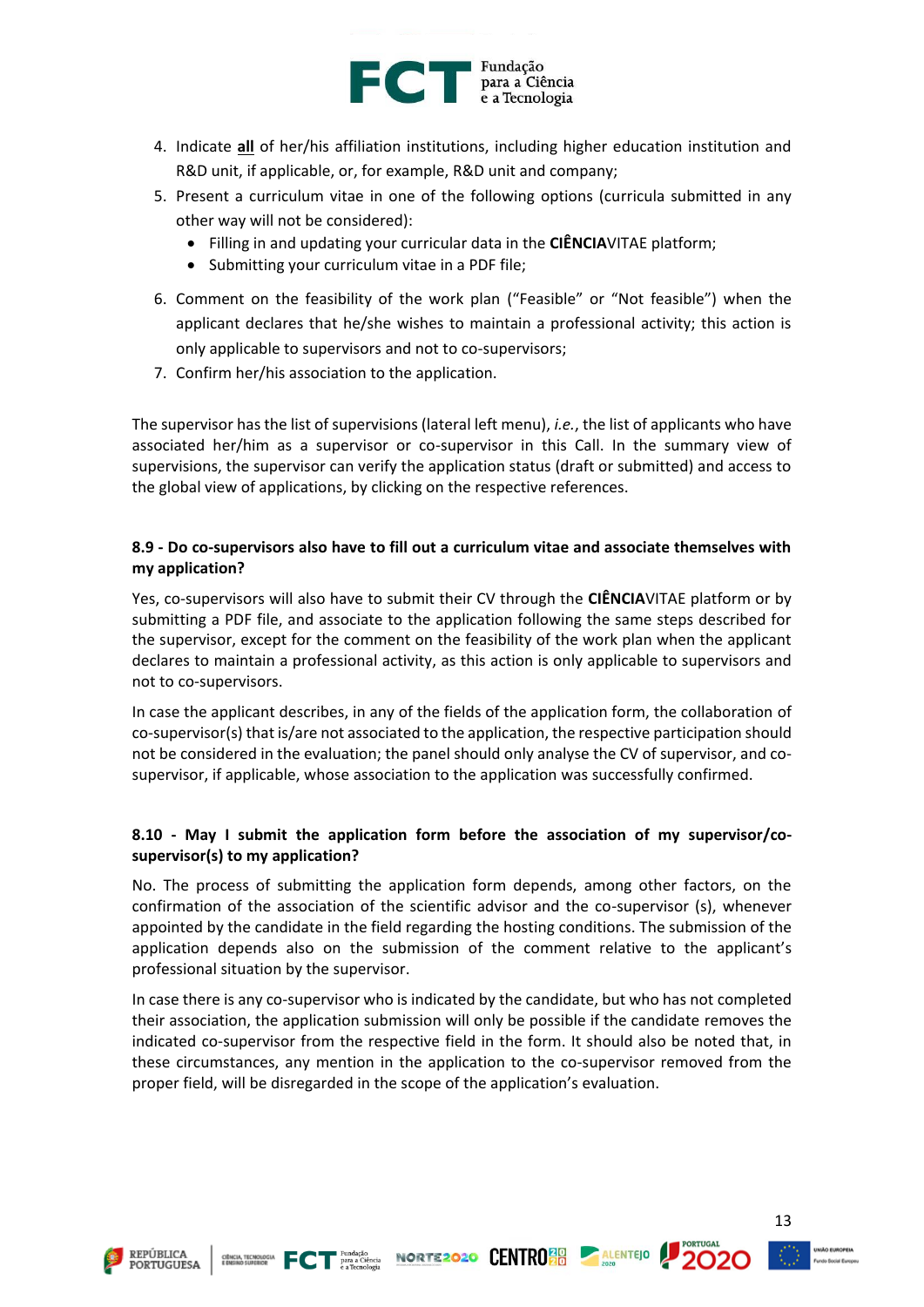

- 4. Indicate **all** of her/his affiliation institutions, including higher education institution and R&D unit, if applicable, or, for example, R&D unit and company;
- 5. Present a curriculum vitae in one of the following options (curricula submitted in any other way will not be considered):
	- Filling in and updating your curricular data in the **CIÊNCIA**VITAE platform;
	- Submitting your curriculum vitae in a PDF file;
- 6. Comment on the feasibility of the work plan ("Feasible" or "Not feasible") when the applicant declares that he/she wishes to maintain a professional activity; this action is only applicable to supervisors and not to co-supervisors;
- 7. Confirm her/his association to the application.

The supervisor has the list of supervisions (lateral left menu), *i.e.*, the list of applicants who have associated her/him as a supervisor or co-supervisor in this Call. In the summary view of supervisions, the supervisor can verify the application status (draft or submitted) and access to the global view of applications, by clicking on the respective references.

## **8.9 - Do co-supervisors also have to fill out a curriculum vitae and associate themselves with my application?**

Yes, co-supervisors will also have to submit their CV through the **CIÊNCIA**VITAE platform or by submitting a PDF file, and associate to the application following the same steps described for the supervisor, except for the comment on the feasibility of the work plan when the applicant declares to maintain a professional activity, as this action is only applicable to supervisors and not to co-supervisors.

In case the applicant describes, in any of the fields of the application form, the collaboration of co-supervisor(s) that is/are not associated to the application, the respective participation should not be considered in the evaluation; the panel should only analyse the CV of supervisor, and cosupervisor, if applicable, whose association to the application was successfully confirmed.

## **8.10 - May I submit the application form before the association of my supervisor/cosupervisor(s) to my application?**

No. The process of submitting the application form depends, among other factors, on the confirmation of the association of the scientific advisor and the co-supervisor (s), whenever appointed by the candidate in the field regarding the hosting conditions. The submission of the application depends also on the submission of the comment relative to the applicant's professional situation by the supervisor.

In case there is any co-supervisor who is indicated by the candidate, but who has not completed their association, the application submission will only be possible if the candidate removes the indicated co-supervisor from the respective field in the form. It should also be noted that, in these circumstances, any mention in the application to the co-supervisor removed from the proper field, will be disregarded in the scope of the application's evaluation.





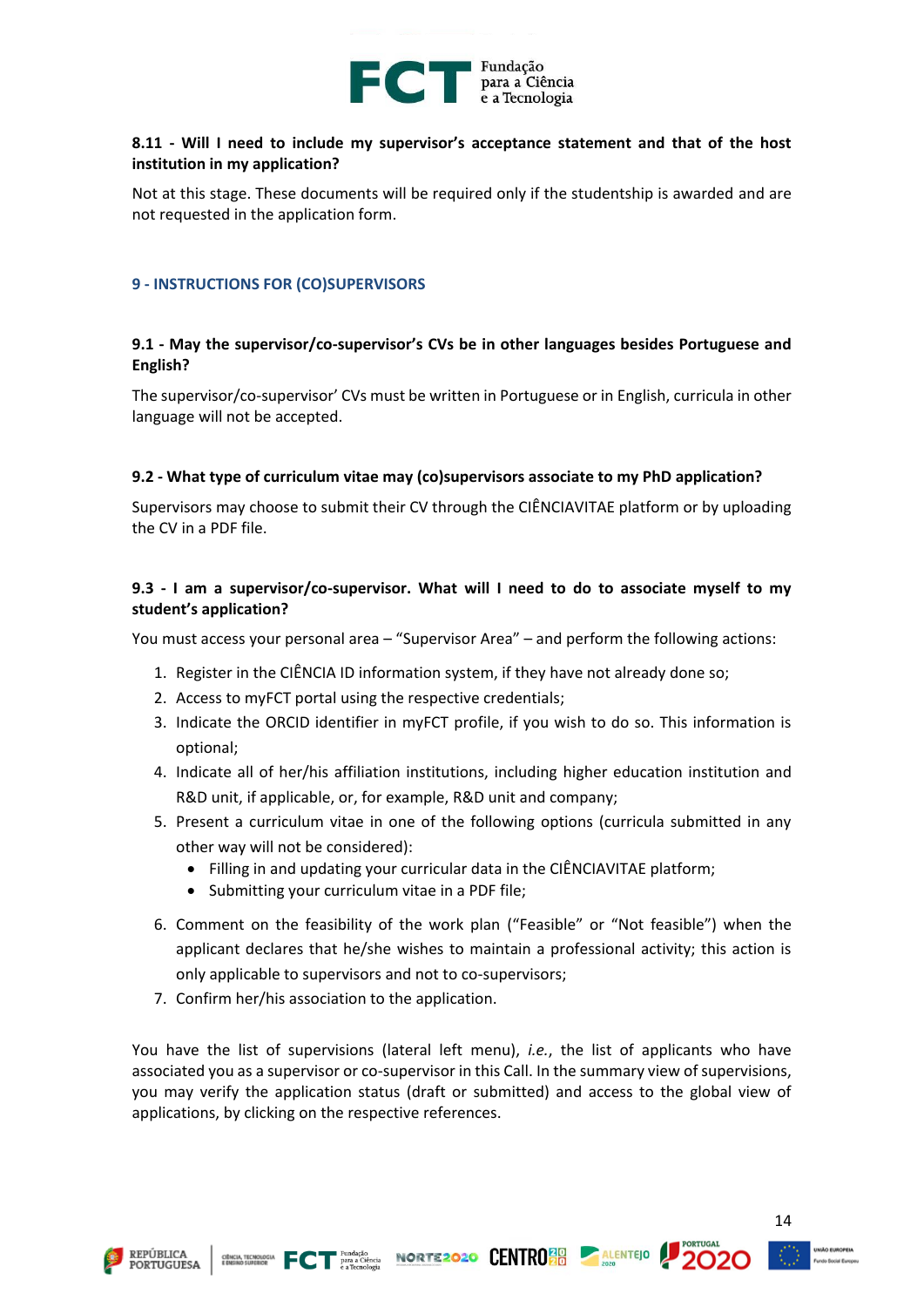

## **8.11 - Will I need to include my supervisor's acceptance statement and that of the host institution in my application?**

Not at this stage. These documents will be required only if the studentship is awarded and are not requested in the application form.

#### <span id="page-14-0"></span>**9 - INSTRUCTIONS FOR (CO)SUPERVISORS**

## **9.1 - May the supervisor/co-supervisor's CVs be in other languages besides Portuguese and English?**

The supervisor/co-supervisor' CVs must be written in Portuguese or in English, curricula in other language will not be accepted.

#### **9.2 - What type of curriculum vitae may (co)supervisors associate to my PhD application?**

Supervisors may choose to submit their CV through the CIÊNCIAVITAE platform or by uploading the CV in a PDF file.

## **9.3 - I am a supervisor/co-supervisor. What will I need to do to associate myself to my student's application?**

You must access your personal area – "Supervisor Area" – and perform the following actions:

- 1. Register in the CIÊNCIA ID information system, if they have not already done so;
- 2. Access to myFCT portal using the respective credentials;
- 3. Indicate the ORCID identifier in myFCT profile, if you wish to do so. This information is optional;
- 4. Indicate all of her/his affiliation institutions, including higher education institution and R&D unit, if applicable, or, for example, R&D unit and company;
- 5. Present a curriculum vitae in one of the following options (curricula submitted in any other way will not be considered):
	- Filling in and updating your curricular data in the CIÊNCIAVITAE platform;
	- Submitting your curriculum vitae in a PDF file;
- 6. Comment on the feasibility of the work plan ("Feasible" or "Not feasible") when the applicant declares that he/she wishes to maintain a professional activity; this action is only applicable to supervisors and not to co-supervisors;
- 7. Confirm her/his association to the application.

You have the list of supervisions (lateral left menu), *i.e.*, the list of applicants who have associated you as a supervisor or co-supervisor in this Call. In the summary view of supervisions, you may verify the application status (draft or submitted) and access to the global view of applications, by clicking on the respective references.







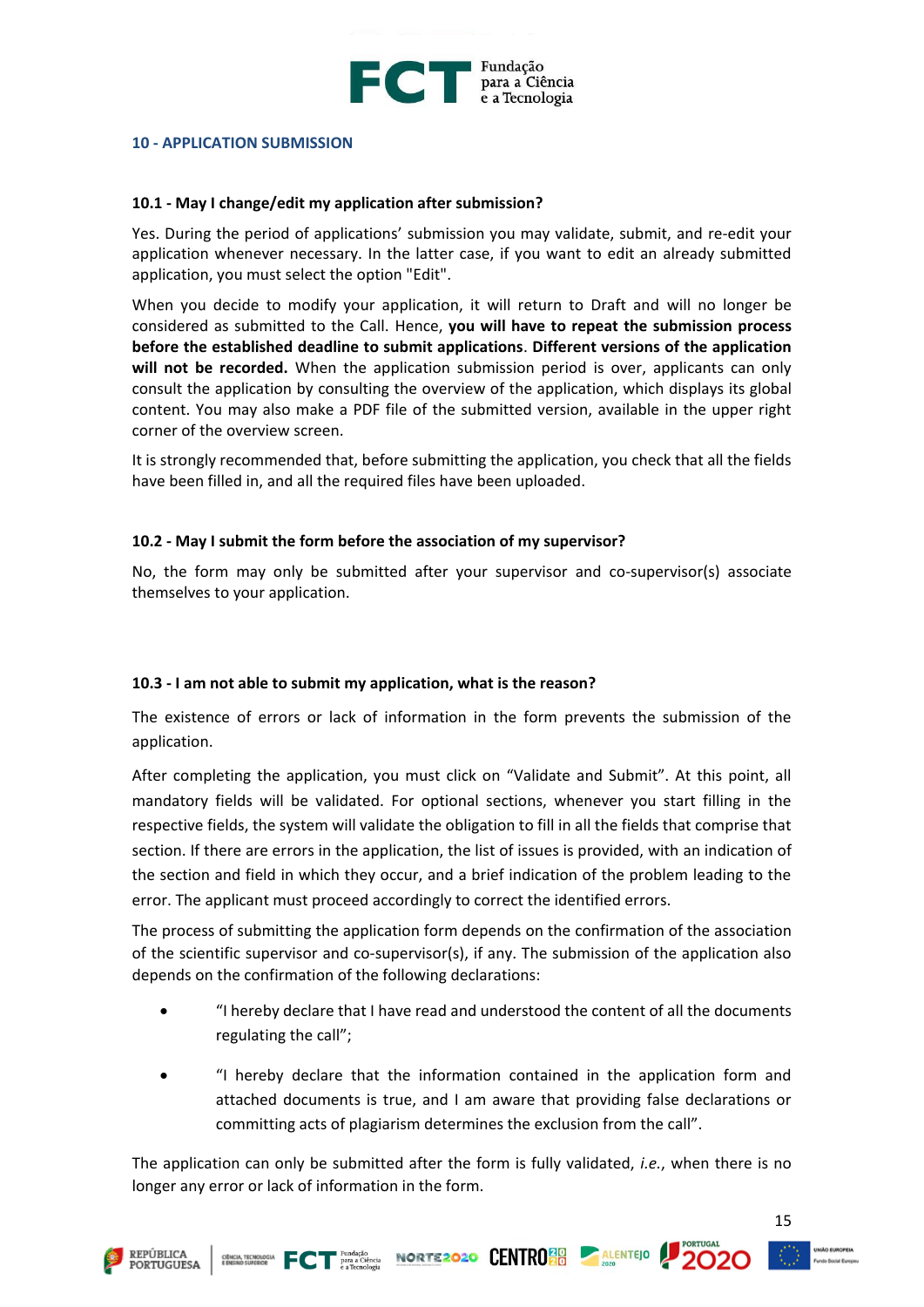

#### <span id="page-15-0"></span>**10 - APPLICATION SUBMISSION**

#### **10.1 - May I change/edit my application after submission?**

Yes. During the period of applications' submission you may validate, submit, and re-edit your application whenever necessary. In the latter case, if you want to edit an already submitted application, you must select the option "Edit".

When you decide to modify your application, it will return to Draft and will no longer be considered as submitted to the Call. Hence, **you will have to repeat the submission process before the established deadline to submit applications**. **Different versions of the application will not be recorded.** When the application submission period is over, applicants can only consult the application by consulting the overview of the application, which displays its global content. You may also make a PDF file of the submitted version, available in the upper right corner of the overview screen.

It is strongly recommended that, before submitting the application, you check that all the fields have been filled in, and all the required files have been uploaded.

#### **10.2 - May I submit the form before the association of my supervisor?**

No, the form may only be submitted after your supervisor and co-supervisor(s) associate themselves to your application.

#### **10.3 - I am not able to submit my application, what is the reason?**

The existence of errors or lack of information in the form prevents the submission of the application.

After completing the application, you must click on "Validate and Submit". At this point, all mandatory fields will be validated. For optional sections, whenever you start filling in the respective fields, the system will validate the obligation to fill in all the fields that comprise that section. If there are errors in the application, the list of issues is provided, with an indication of the section and field in which they occur, and a brief indication of the problem leading to the error. The applicant must proceed accordingly to correct the identified errors.

The process of submitting the application form depends on the confirmation of the association of the scientific supervisor and co-supervisor(s), if any. The submission of the application also depends on the confirmation of the following declarations:

- "I hereby declare that I have read and understood the content of all the documents regulating the call";
- "I hereby declare that the information contained in the application form and attached documents is true, and I am aware that providing false declarations or committing acts of plagiarism determines the exclusion from the call".

The application can only be submitted after the form is fully validated, *i.e.*, when there is no longer any error or lack of information in the form.

CHICARDOGIA FCT PATA CIÈRCIA NORTE 2020 CENTRO 20 ALENTEJO

**REPÚBLICA PORTUGUESA**